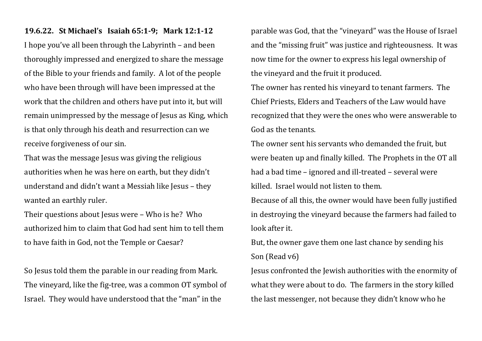## **19.6.22. St Michael's Isaiah 65:1-9; Mark 12:1-12**

I hope you've all been through the Labyrinth – and been thoroughly impressed and energized to share the message of the Bible to your friends and family. A lot of the people who have been through will have been impressed at the work that the children and others have put into it, but will remain unimpressed by the message of Jesus as King, which is that only through his death and resurrection can we receive forgiveness of our sin.

That was the message Jesus was giving the religious authorities when he was here on earth, but they didn't understand and didn't want a Messiah like Jesus – they wanted an earthly ruler.

Their questions about Jesus were – Who is he? Who authorized him to claim that God had sent him to tell them to have faith in God, not the Temple or Caesar?

So Jesus told them the parable in our reading from Mark. The vineyard, like the fig-tree, was a common OT symbol of Israel. They would have understood that the "man" in the

parable was God, that the "vineyard" was the House of Israel and the "missing fruit" was justice and righteousness. It was now time for the owner to express his legal ownership of the vineyard and the fruit it produced.

The owner has rented his vineyard to tenant farmers. The Chief Priests, Elders and Teachers of the Law would have recognized that they were the ones who were answerable to God as the tenants.

The owner sent his servants who demanded the fruit, but were beaten up and finally killed. The Prophets in the OT all had a bad time – ignored and ill-treated – several were killed. Israel would not listen to them.

Because of all this, the owner would have been fully justified in destroying the vineyard because the farmers had failed to look after it.

But, the owner gave them one last chance by sending his Son (Read v6)

Jesus confronted the Jewish authorities with the enormity of what they were about to do. The farmers in the story killed the last messenger, not because they didn't know who he